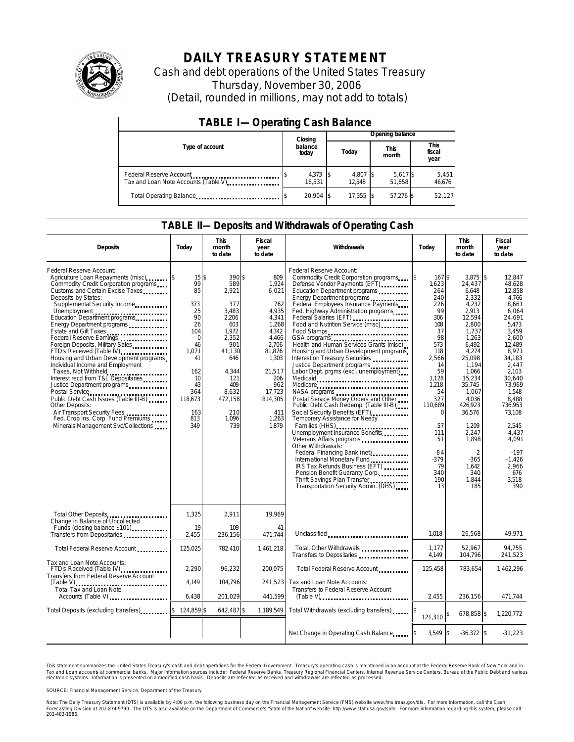

# **DAILY TREASURY STATEMENT**

Cash and debt operations of the United States Treasury Thursday, November 30, 2006 (Detail, rounded in millions, may not add to totals)

| <b>TABLE I-Operating Cash Balance</b>                           |                      |                    |                      |                               |  |  |  |
|-----------------------------------------------------------------|----------------------|--------------------|----------------------|-------------------------------|--|--|--|
|                                                                 | Closing              | Opening balance    |                      |                               |  |  |  |
| Type of account                                                 | balance<br>today     | Today              | <b>This</b><br>month | <b>This</b><br>fiscal<br>year |  |  |  |
| Federal Reserve Account<br>Tax and Loan Note Accounts (Table V) | $4,373$ \$<br>16.531 | 4,807 \$<br>12.548 | 5,617\$<br>51,658    | 5,451<br>46,676               |  |  |  |
| Total Operating Balance                                         | 20.904 \$            | 17,355             | 57,276 \$            | 52,127                        |  |  |  |

### **TABLE II—Deposits and Withdrawals of Operating Cash**

| <b>Deposits</b>                                                                                                                                                                                                                                                                                                                                                                                                                                                                                                                                                                                                                                                                                                                                                              | Today                                                                                                                                             | <b>This</b><br>month<br>to date                                                                                                                                    | Fiscal<br>year<br>to date                                                                                                                                                   | Withdrawals<br>Today                                                                                                                                                                                                                                                                                                                                                                                                                                                                                                                                                                                                                                                                                                                                                                                                                                                                                                                                                                                                                                            |                                                                                                                                                                                                                                     | <b>This</b><br>month<br>to date                                                                                                                                                                                                                                                | Fiscal<br>year<br>to date                                                                                                                                                                                                                                                                   |
|------------------------------------------------------------------------------------------------------------------------------------------------------------------------------------------------------------------------------------------------------------------------------------------------------------------------------------------------------------------------------------------------------------------------------------------------------------------------------------------------------------------------------------------------------------------------------------------------------------------------------------------------------------------------------------------------------------------------------------------------------------------------------|---------------------------------------------------------------------------------------------------------------------------------------------------|--------------------------------------------------------------------------------------------------------------------------------------------------------------------|-----------------------------------------------------------------------------------------------------------------------------------------------------------------------------|-----------------------------------------------------------------------------------------------------------------------------------------------------------------------------------------------------------------------------------------------------------------------------------------------------------------------------------------------------------------------------------------------------------------------------------------------------------------------------------------------------------------------------------------------------------------------------------------------------------------------------------------------------------------------------------------------------------------------------------------------------------------------------------------------------------------------------------------------------------------------------------------------------------------------------------------------------------------------------------------------------------------------------------------------------------------|-------------------------------------------------------------------------------------------------------------------------------------------------------------------------------------------------------------------------------------|--------------------------------------------------------------------------------------------------------------------------------------------------------------------------------------------------------------------------------------------------------------------------------|---------------------------------------------------------------------------------------------------------------------------------------------------------------------------------------------------------------------------------------------------------------------------------------------|
| Federal Reserve Account:<br>Agriculture Loan Repayments (misc)<br>Commodity Credit Corporation programs<br>Customs and Certain Excise Taxes<br>Deposits by States:<br>Supplemental Security Income<br>Unemployment<br>Education Department programs<br>Energy Department programs<br>Estate and Gift Taxes<br>Federal Reserve Earnings<br>Foreign Deposits, Military Sales<br>FTD's Received (Table IV)<br>Housing and Urban Development programs<br>Individual Income and Employment<br>Taxes, Not Withheld<br>Interest recd from T&L Depositaries<br>Justice Department programs<br>Postal Service<br>Public Debt Cash Issues (Table III-B)<br>Other Deposits:<br>Air Transport Security Fees<br>Fed. Crop Ins. Corp. Fund Premiums<br>Minerals Management Svc/Collections | $15$ \$<br>99<br>85<br>373<br>25<br>90<br>26<br>104<br>$\mathbf 0$<br>46<br>1,071<br>41<br>162<br>10<br>43<br>364<br>118.673<br>163<br>813<br>349 | 390 \$<br>589<br>2,921<br>377<br>3.483<br>2.206<br>603<br>1.972<br>2,352<br>901<br>41,130<br>646<br>4,344<br>121<br>409<br>8,632<br>472.158<br>210<br>1.096<br>739 | 809<br>1,924<br>6,021<br>762<br>4.935<br>4,341<br>1,268<br>4,342<br>4,466<br>2.706<br>81,876<br>1,303<br>21,517<br>206<br>962<br>17,723<br>814,305<br>411<br>1,263<br>1,879 | Federal Reserve Account:<br>Commodity Credit Corporation programs<br>Defense Vendor Payments (EFT)<br>Education Department programs<br>Energy Department programs<br>Federal Employees Insurance Payments<br>Fed. Highway Administration programs<br>Federal Salaries (EFT)<br>Food and Nutrition Service (misc)<br>Food Stamps<br>GSA programs<br>Health and Human Services Grants (misc)<br>Housing and Urban Development programs<br>Interest on Treasury Securities<br>Justice Department programs<br>Labor Dept. prgms (excl. unemployment)<br>Medicare<br>NASA programs<br>Postal Service Money Orders and Other<br>Public Debt Cash Redemp. (Table III-B)<br>Social Security Benefits (EFT)<br><br>Temporary Assistance for Needy<br>Families (HHS)<br>Unemployment Insurance Benefits<br>Veterans Affairs programs<br>Other Withdrawals:<br>Federal Financing Bank (net)<br><br>International Monetary Fund<br>IRS Tax Refunds Business (EFT)<br>Pension Benefit Guaranty Corp.<br>Thrift Savings Plan Transfer<br>Transportation Security Admin. (DHS) | \$<br>167 \$<br>1,623<br>264<br>240<br>226<br>99<br>306<br>108<br>37<br>98<br>573<br>118<br>2,566<br>14<br>59<br>1.128<br>1,218<br>54<br>327<br>110,689<br>$\Omega$<br>57<br>111<br>51<br>$-84$<br>$-379$<br>79<br>340<br>190<br>13 | 3.875<br>24,437<br>6,648<br>2.332<br>4,232<br>2,913<br>12,594<br>2.800<br>1,737<br>1,263<br>6.492<br>4,274<br>25.098<br>1.194<br>1,066<br>15,234<br>35,745<br>1,067<br>4.036<br>426,923<br>36,576<br>1,209<br>2,247<br>1,898<br>$-2$<br>$-365$<br>1,642<br>340<br>1.844<br>185 | \$<br>12,847<br>48,628<br>12,858<br>4.766<br>8,661<br>6.064<br>24,691<br>5.473<br>3.459<br>2.600<br>12.489<br>8,971<br>34.183<br>2.447<br>2,103<br>30.640<br>73,969<br>1,548<br>8.488<br>736,953<br>73,108<br>2,545<br>4.437<br>4,091<br>$-197$<br>$-1,426$<br>2,966<br>676<br>3.518<br>390 |
| Total Other Deposits<br>Change in Balance of Uncollected<br>Funds (closing balance \$101)<br>Transfers from Depositaries<br>x                                                                                                                                                                                                                                                                                                                                                                                                                                                                                                                                                                                                                                                | 1,325<br>19<br>2,455                                                                                                                              | 2,911<br>109<br>236,156                                                                                                                                            | 19,969<br>41<br>471,744                                                                                                                                                     | Unclassified                                                                                                                                                                                                                                                                                                                                                                                                                                                                                                                                                                                                                                                                                                                                                                                                                                                                                                                                                                                                                                                    | 1.018                                                                                                                                                                                                                               | 26,568                                                                                                                                                                                                                                                                         | 49,971                                                                                                                                                                                                                                                                                      |
| Total Federal Reserve Account                                                                                                                                                                                                                                                                                                                                                                                                                                                                                                                                                                                                                                                                                                                                                | 125,025                                                                                                                                           | 782,410                                                                                                                                                            | 1,461,218                                                                                                                                                                   | Total, Other Withdrawals                                                                                                                                                                                                                                                                                                                                                                                                                                                                                                                                                                                                                                                                                                                                                                                                                                                                                                                                                                                                                                        | 1,177                                                                                                                                                                                                                               | 52,967                                                                                                                                                                                                                                                                         | 94,755                                                                                                                                                                                                                                                                                      |
| Tax and Loan Note Accounts:<br>FTD's Received (Table IV)<br>Transfers from Federal Reserve Account<br>Total Tax and Loan Note                                                                                                                                                                                                                                                                                                                                                                                                                                                                                                                                                                                                                                                | 2,290<br>4,149<br>6.438                                                                                                                           | 96,232<br>104,796<br>201.029                                                                                                                                       | 200,075<br>241,523<br>441,599                                                                                                                                               | Transfers to Depositaries<br>Total Federal Reserve Account<br>Tax and Loan Note Accounts:<br>Transfers to Federal Reserve Account<br>(Table V)                                                                                                                                                                                                                                                                                                                                                                                                                                                                                                                                                                                                                                                                                                                                                                                                                                                                                                                  | 4,149<br>125,458<br>2.455                                                                                                                                                                                                           | 104,796<br>783,654<br>236.156                                                                                                                                                                                                                                                  | 241,523<br>1,462,296<br>471.744                                                                                                                                                                                                                                                             |
| Total Deposits (excluding transfers)                                                                                                                                                                                                                                                                                                                                                                                                                                                                                                                                                                                                                                                                                                                                         | \$124,859                                                                                                                                         | 642.487 \$                                                                                                                                                         | 1,189,549                                                                                                                                                                   | Total Withdrawals (excluding transfers)                                                                                                                                                                                                                                                                                                                                                                                                                                                                                                                                                                                                                                                                                                                                                                                                                                                                                                                                                                                                                         | 121,310                                                                                                                                                                                                                             | 678,858 \$                                                                                                                                                                                                                                                                     | 1,220,772                                                                                                                                                                                                                                                                                   |
|                                                                                                                                                                                                                                                                                                                                                                                                                                                                                                                                                                                                                                                                                                                                                                              |                                                                                                                                                   |                                                                                                                                                                    |                                                                                                                                                                             | Net Change in Operating Cash Balance                                                                                                                                                                                                                                                                                                                                                                                                                                                                                                                                                                                                                                                                                                                                                                                                                                                                                                                                                                                                                            | $3,549$ \$                                                                                                                                                                                                                          | $-36,372$ \$                                                                                                                                                                                                                                                                   | $-31,223$                                                                                                                                                                                                                                                                                   |

This statement summarizes the United States Treasury's cash and debt operations for the Federal Government. Treasury's operating cash is maintained in an account at the Federal Reserve Bank of New York and in Tax and Loan accounts at commercial banks. Major information sources include: Federal Reserve Banks, Treasury Regional Financial Centers, Internal Revenue Service Centers, Bureau of the Public Debt and various<br>electronic s

SOURCE: Financial Management Service, Department of the Treasury

Note: The Daily Treasury Statement (DTS) is available by 4:00 p.m. the following business day on the Financial Management Service (FMS) website www.fms.treas.gov/dts. For more information, call the Cash Forecasting Division at 202-874-9790. The DTS is also available on the Department of Commerce's "State of the Nation" website: http://www.stat-usa.gov/sotn. For more information regarding this system, please call<br>202-482-1